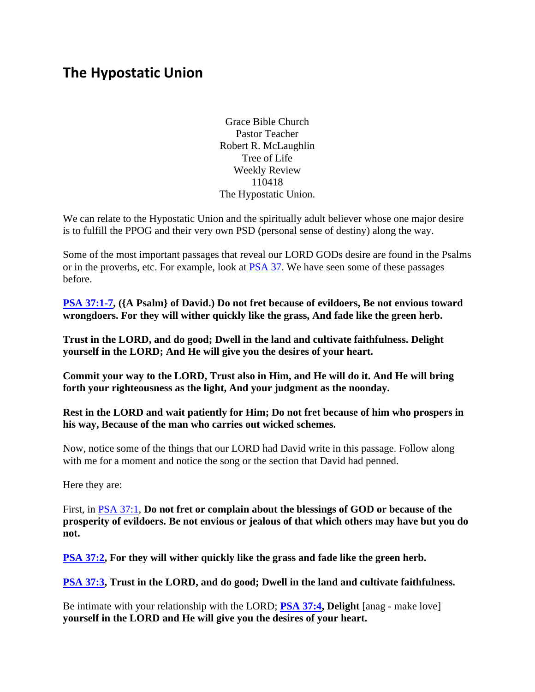# **The Hypostatic Union**

Grace Bible Church Pastor Teacher Robert R. McLaughlin Tree of Life Weekly Review 110418 The Hypostatic Union.

We can relate to the Hypostatic Union and the spiritually adult believer whose one major desire is to fulfill the PPOG and their very own PSD (personal sense of destiny) along the way.

Some of the most important passages that reveal our LORD GODs desire are found in the Psalms or in the proverbs, etc. For example, look at **PSA 37**. We have seen some of these passages before.

**[PSA 37:1-7,](https://www.bibleserver.com/text/NIV/Psalm37%3A1-7) ({A Psalm} of David.) Do not fret because of evildoers, Be not envious toward wrongdoers. For they will wither quickly like the grass, And fade like the green herb.** 

**Trust in the LORD, and do good; Dwell in the land and cultivate faithfulness. Delight yourself in the LORD; And He will give you the desires of your heart.** 

**Commit your way to the LORD, Trust also in Him, and He will do it. And He will bring forth your righteousness as the light, And your judgment as the noonday.** 

**Rest in the LORD and wait patiently for Him; Do not fret because of him who prospers in his way, Because of the man who carries out wicked schemes.**

Now, notice some of the things that our LORD had David write in this passage. Follow along with me for a moment and notice the song or the section that David had penned.

Here they are:

First, in [PSA 37:1,](https://www.bibleserver.com/text/NIV/Psalm37%3A1) **Do not fret or complain about the blessings of GOD or because of the prosperity of evildoers. Be not envious or jealous of that which others may have but you do not.**

**[PSA 37:2,](https://www.bibleserver.com/text/NIV/Psalm37%3A2) For they will wither quickly like the grass and fade like the green herb.**

**[PSA 37:3,](https://www.bibleserver.com/text/NIV/Psalm37%3A3) Trust in the LORD, and do good; Dwell in the land and cultivate faithfulness.**

Be intimate with your relationship with the LORD; **[PSA 37:4,](https://www.bibleserver.com/text/NIV/Psalm37%3A4) Delight** [anag - make love] **yourself in the LORD and He will give you the desires of your heart.**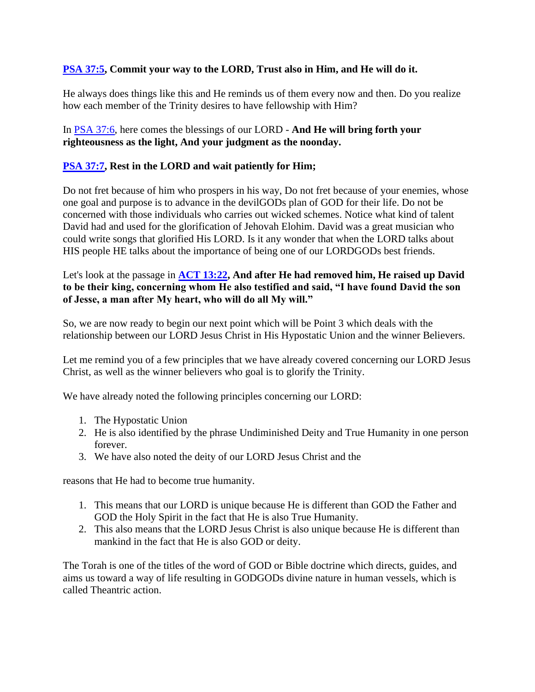## **[PSA 37:5,](https://www.bibleserver.com/text/NIV/Psalm37%3A5) Commit your way to the LORD, Trust also in Him, and He will do it.**

He always does things like this and He reminds us of them every now and then. Do you realize how each member of the Trinity desires to have fellowship with Him?

#### In [PSA 37:6,](https://www.bibleserver.com/text/NIV/Psalm37%3A6) here comes the blessings of our LORD - **And He will bring forth your righteousness as the light, And your judgment as the noonday.**

#### **[PSA 37:7,](https://www.bibleserver.com/text/NIV/Psalm37%3A7) Rest in the LORD and wait patiently for Him;**

Do not fret because of him who prospers in his way, Do not fret because of your enemies, whose one goal and purpose is to advance in the devilGODs plan of GOD for their life. Do not be concerned with those individuals who carries out wicked schemes. Notice what kind of talent David had and used for the glorification of Jehovah Elohim. David was a great musician who could write songs that glorified His LORD. Is it any wonder that when the LORD talks about HIS people HE talks about the importance of being one of our LORDGODs best friends.

#### Let's look at the passage in **[ACT 13:22,](https://www.bibleserver.com/text/NIV/Acts13%3A22) And after He had removed him, He raised up David to be their king, concerning whom He also testified and said, "I have found David the son of Jesse, a man after My heart, who will do all My will."**

So, we are now ready to begin our next point which will be Point 3 which deals with the relationship between our LORD Jesus Christ in His Hypostatic Union and the winner Believers.

Let me remind you of a few principles that we have already covered concerning our LORD Jesus Christ, as well as the winner believers who goal is to glorify the Trinity.

We have already noted the following principles concerning our LORD:

- 1. The Hypostatic Union
- 2. He is also identified by the phrase Undiminished Deity and True Humanity in one person forever.
- 3. We have also noted the deity of our LORD Jesus Christ and the

reasons that He had to become true humanity.

- 1. This means that our LORD is unique because He is different than GOD the Father and GOD the Holy Spirit in the fact that He is also True Humanity.
- 2. This also means that the LORD Jesus Christ is also unique because He is different than mankind in the fact that He is also GOD or deity.

The Torah is one of the titles of the word of GOD or Bible doctrine which directs, guides, and aims us toward a way of life resulting in GODGODs divine nature in human vessels, which is called Theantric action.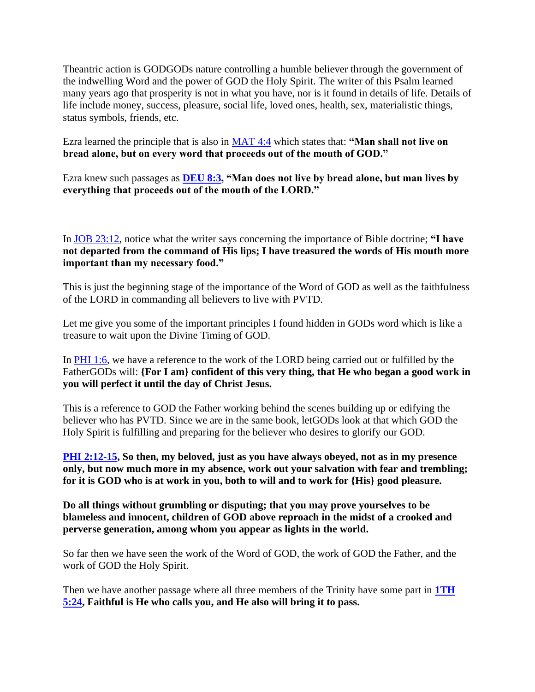Theantric action is GODGODs nature controlling a humble believer through the government of the indwelling Word and the power of GOD the Holy Spirit. The writer of this Psalm learned many years ago that prosperity is not in what you have, nor is it found in details of life. Details of life include money, success, pleasure, social life, loved ones, health, sex, materialistic things, status symbols, friends, etc.

Ezra learned the principle that is also in [MAT 4:4](https://www.bibleserver.com/text/NIV/Matthew4%3A4) which states that: **"Man shall not live on bread alone, but on every word that proceeds out of the mouth of GOD."**

Ezra knew such passages as **[DEU 8:3,](https://www.bibleserver.com/text/NIV/Deuteronomy8%3A3) "Man does not live by bread alone, but man lives by everything that proceeds out of the mouth of the LORD."** 

In [JOB 23:12,](https://www.bibleserver.com/text/NIV/Job23%3A12) notice what the writer says concerning the importance of Bible doctrine; **"I have not departed from the command of His lips; I have treasured the words of His mouth more important than my necessary food."** 

This is just the beginning stage of the importance of the Word of GOD as well as the faithfulness of the LORD in commanding all believers to live with PVTD.

Let me give you some of the important principles I found hidden in GODs word which is like a treasure to wait upon the Divine Timing of GOD.

In [PHI 1:6,](https://www.bibleserver.com/text/NIV/Philippians1%3A6) we have a reference to the work of the LORD being carried out or fulfilled by the FatherGODs will: **{For I am} confident of this very thing, that He who began a good work in you will perfect it until the day of Christ Jesus.**

This is a reference to GOD the Father working behind the scenes building up or edifying the believer who has PVTD. Since we are in the same book, letGODs look at that which GOD the Holy Spirit is fulfilling and preparing for the believer who desires to glorify our GOD.

**[PHI 2:12-15,](https://www.bibleserver.com/text/NIV/Philippians2%3A12-15) So then, my beloved, just as you have always obeyed, not as in my presence only, but now much more in my absence, work out your salvation with fear and trembling; for it is GOD who is at work in you, both to will and to work for {His} good pleasure.** 

**Do all things without grumbling or disputing; that you may prove yourselves to be blameless and innocent, children of GOD above reproach in the midst of a crooked and perverse generation, among whom you appear as lights in the world.**

So far then we have seen the work of the Word of GOD, the work of GOD the Father, and the work of GOD the Holy Spirit.

Then we have another passage where all three members of the Trinity have some part in **[1TH](https://www.bibleserver.com/text/NIV/1Thessalonians5%3A24)  [5:24,](https://www.bibleserver.com/text/NIV/1Thessalonians5%3A24) Faithful is He who calls you, and He also will bring it to pass.**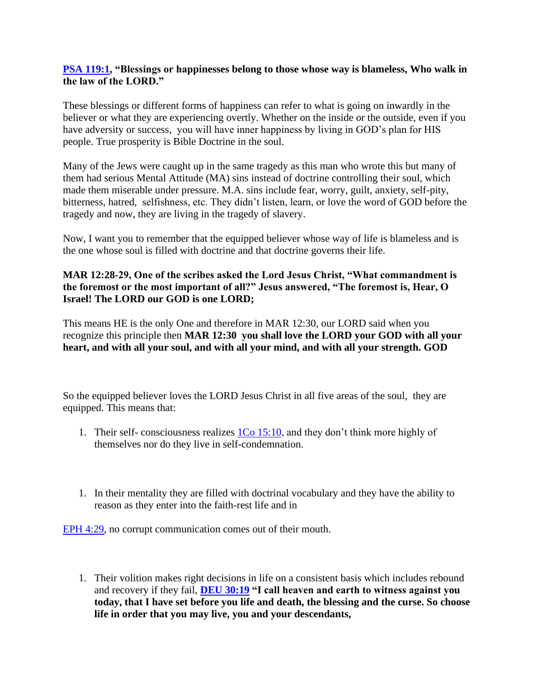#### **[PSA 119:1,](https://www.bibleserver.com/text/NIV/Psalm119%3A1) "Blessings or happinesses belong to those whose way is blameless, Who walk in the law of the LORD."**

These blessings or different forms of happiness can refer to what is going on inwardly in the believer or what they are experiencing overtly. Whether on the inside or the outside, even if you have adversity or success, you will have inner happiness by living in GOD's plan for HIS people. True prosperity is Bible Doctrine in the soul.

Many of the Jews were caught up in the same tragedy as this man who wrote this but many of them had serious Mental Attitude (MA) sins instead of doctrine controlling their soul, which made them miserable under pressure. M.A. sins include fear, worry, guilt, anxiety, self-pity, bitterness, hatred, selfishness, etc. They didn't listen, learn, or love the word of GOD before the tragedy and now, they are living in the tragedy of slavery.

Now, I want you to remember that the equipped believer whose way of life is blameless and is the one whose soul is filled with doctrine and that doctrine governs their life.

## **MAR 12:28-29, One of the scribes asked the Lord Jesus Christ, "What commandment is the foremost or the most important of all?" Jesus answered, "The foremost is, Hear, O Israel! The LORD our GOD is one LORD;**

This means HE is the only One and therefore in MAR 12:30, our LORD said when you recognize this principle then **MAR 12:30 you shall love the LORD your GOD with all your heart, and with all your soul, and with all your mind, and with all your strength. GOD**

So the equipped believer loves the LORD Jesus Christ in all five areas of the soul, they are equipped. This means that:

- 1. Their self- consciousness realizes  $1\text{Co }15:10$ , and they don't think more highly of themselves nor do they live in self-condemnation.
- 1. In their mentality they are filled with doctrinal vocabulary and they have the ability to reason as they enter into the faith-rest life and in

[EPH 4:29,](https://www.bibleserver.com/text/NIV/Ephesians4%3A29) no corrupt communication comes out of their mouth.

1. Their volition makes right decisions in life on a consistent basis which includes rebound and recovery if they fail, **[DEU 30:19](https://www.bibleserver.com/text/NIV/Deuteronomy30%3A19) "I call heaven and earth to witness against you today, that I have set before you life and death, the blessing and the curse. So choose life in order that you may live, you and your descendants,**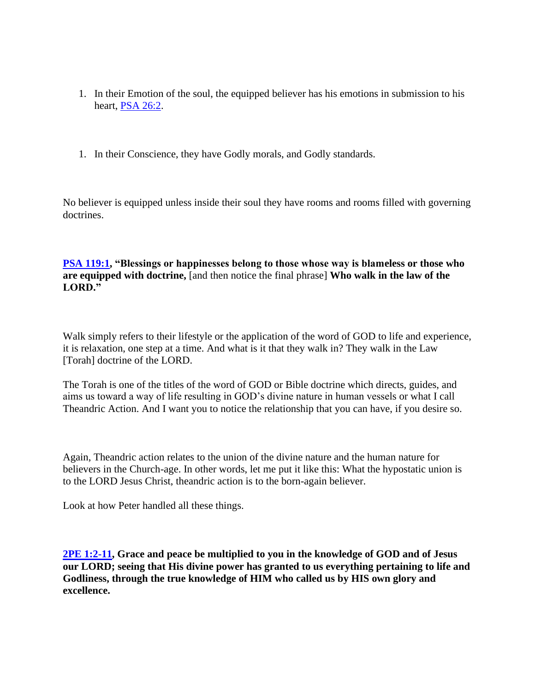- 1. In their Emotion of the soul, the equipped believer has his emotions in submission to his heart, [PSA 26:2.](https://www.bibleserver.com/text/NIV/Psalm26%3A2)
- 1. In their Conscience, they have Godly morals, and Godly standards.

No believer is equipped unless inside their soul they have rooms and rooms filled with governing doctrines.

**[PSA 119:1,](https://www.bibleserver.com/text/NIV/Psalm119%3A1) "Blessings or happinesses belong to those whose way is blameless or those who are equipped with doctrine,** [and then notice the final phrase] **Who walk in the law of the LORD."**

Walk simply refers to their lifestyle or the application of the word of GOD to life and experience, it is relaxation, one step at a time. And what is it that they walk in? They walk in the Law [Torah] doctrine of the LORD.

The Torah is one of the titles of the word of GOD or Bible doctrine which directs, guides, and aims us toward a way of life resulting in GOD's divine nature in human vessels or what I call Theandric Action. And I want you to notice the relationship that you can have, if you desire so.

Again, Theandric action relates to the union of the divine nature and the human nature for believers in the Church-age. In other words, let me put it like this: What the hypostatic union is to the LORD Jesus Christ, theandric action is to the born-again believer.

Look at how Peter handled all these things.

**[2PE 1:2-11,](https://www.bibleserver.com/text/NIV/2Peter1%3A2-11) Grace and peace be multiplied to you in the knowledge of GOD and of Jesus our LORD; seeing that His divine power has granted to us everything pertaining to life and Godliness, through the true knowledge of HIM who called us by HIS own glory and excellence.**